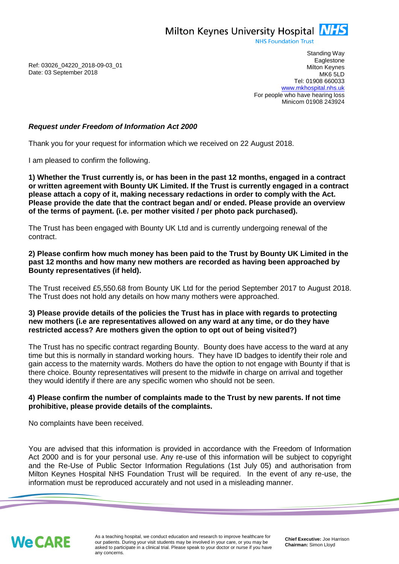Milton Keynes University Hospital **NHS** 

**NHS Foundation Trust** 

Ref: 03026\_04220\_2018-09-03\_01 Date: 03 September 2018

Standing Way **Eaglestone** Milton Keynes MK6 5LD Tel: 01908 660033 [www.mkhospital.nhs.uk](http://www.mkhospital.nhs.uk/) For people who have hearing loss Minicom 01908 243924

## *Request under Freedom of Information Act 2000*

Thank you for your request for information which we received on 22 August 2018.

I am pleased to confirm the following.

**1) Whether the Trust currently is, or has been in the past 12 months, engaged in a contract or written agreement with Bounty UK Limited. If the Trust is currently engaged in a contract please attach a copy of it, making necessary redactions in order to comply with the Act. Please provide the date that the contract began and/ or ended. Please provide an overview of the terms of payment. (i.e. per mother visited / per photo pack purchased).**

The Trust has been engaged with Bounty UK Ltd and is currently undergoing renewal of the contract.

**2) Please confirm how much money has been paid to the Trust by Bounty UK Limited in the past 12 months and how many new mothers are recorded as having been approached by Bounty representatives (if held).**

The Trust received £5,550.68 from Bounty UK Ltd for the period September 2017 to August 2018. The Trust does not hold any details on how many mothers were approached.

## **3) Please provide details of the policies the Trust has in place with regards to protecting new mothers (i.e are representatives allowed on any ward at any time, or do they have restricted access? Are mothers given the option to opt out of being visited?)**

The Trust has no specific contract regarding Bounty. Bounty does have access to the ward at any time but this is normally in standard working hours. They have ID badges to identify their role and gain access to the maternity wards. Mothers do have the option to not engage with Bounty if that is there choice. Bounty representatives will present to the midwife in charge on arrival and together they would identify if there are any specific women who should not be seen.

## **4) Please confirm the number of complaints made to the Trust by new parents. If not time prohibitive, please provide details of the complaints.**

No complaints have been received.

You are advised that this information is provided in accordance with the Freedom of Information Act 2000 and is for your personal use. Any re-use of this information will be subject to copyright and the Re-Use of Public Sector Information Regulations (1st July 05) and authorisation from Milton Keynes Hospital NHS Foundation Trust will be required. In the event of any re-use, the information must be reproduced accurately and not used in a misleading manner.